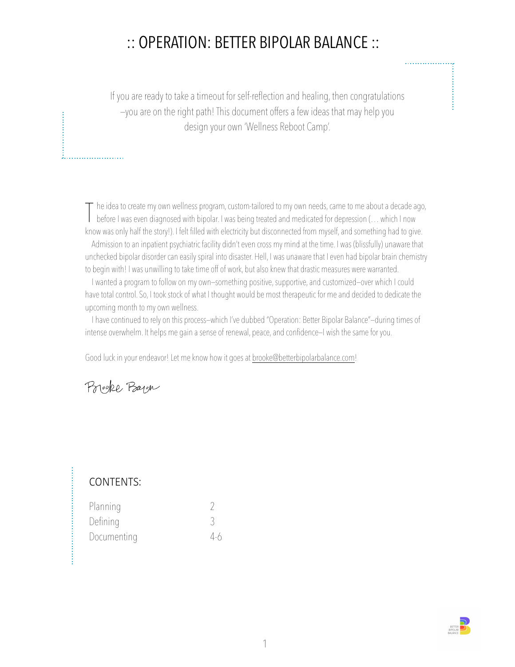## :: OPERATION: BETTER BIPOLAR BALANCE ::

If you are ready to take a timeout for self-reflection and healing, then congratulations —you are on the right path! This document offers a few ideas that may help you design your own 'Wellness Reboot Camp'.

T he idea to create my own wellness program, custom-tailored to my own needs, came to me about a decade ago, before I was even diagnosed with bipolar. I was being treated and medicated for depression (… which I now know was only half the story!). I felt filled with electricity but disconnected from myself, and something had to give. Admission to an inpatient psychiatric facility didn't even cross my mind at the time. I was (blissfully) unaware that unchecked bipolar disorder can easily spiral into disaster. Hell, I was unaware that I even had bipolar brain chemistry to begin with! I was unwilling to take time off of work, but also knew that drastic measures were warranted.

 I wanted a program to follow on my own—something positive, supportive, and customized—over which I could have total control. So, I took stock of what I thought would be most therapeutic for me and decided to dedicate the upcoming month to my own wellness.

 I have continued to rely on this process—which I've dubbed "Operation: Better Bipolar Balance"—during times of intense overwhelm. It helps me gain a sense of renewal, peace, and confidence—I wish the same for you.

Good luck in your endeavor! Let me know how it goes at **brooke@betterbipolarbalance.com!** 

Procke Baren

#### CONTENTS:

| Planning    |     |
|-------------|-----|
| Defining    |     |
| Documenting | 4-6 |



. . . . . . . . . . . . . . . . . . .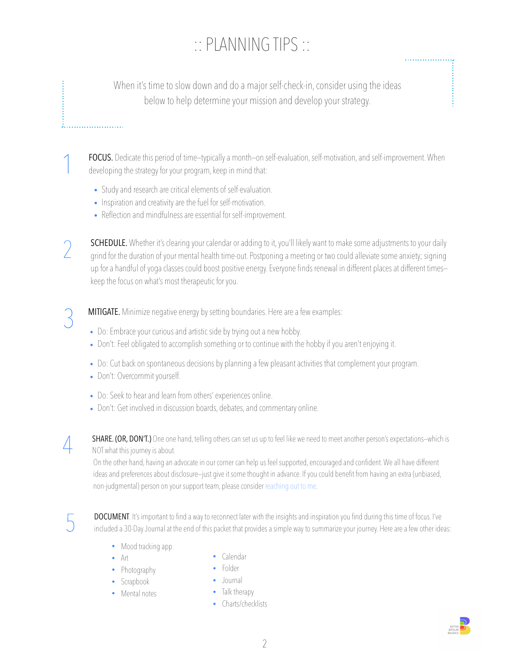# :: PLANNING TIPS ::

When it's time to slow down and do a major self-check-in, consider using the ideas below to help determine your mission and develop your strategy.

FOCUS. Dedicate this period of time-typically a month–on self-evaluation, self-motivation, and self-improvement. When developing the strategy for your program, keep in mind that:

- Study and research are critical elements of self-evaluation.
- Inspiration and creativity are the fuel for self-motivation.
- Reflection and mindfulness are essential for self-improvement.

**SCHEDULE.** Whether it's clearing your calendar or adding to it, you'll likely want to make some adjustments to your daily grind for the duration of your mental health time-out. Postponing a meeting or two could alleviate some anxiety; signing up for a handful of yoga classes could boost positive energy. Everyone finds renewal in different places at different times keep the focus on what's most therapeutic for you. 2

**MITIGATE.** Minimize negative energy by setting boundaries. Here are a few examples:

- Do: Embrace your curious and artistic side by trying out a new hobby.
- Don't: Feel obligated to accomplish something or to continue with the hobby if you aren't enjoying it.
- Do: Cut back on spontaneous decisions by planning a few pleasant activities that complement your program.
- Don't: Overcommit yourself.
- Do: Seek to hear and learn from others' experiences online.
- Don't: Get involved in discussion boards, debates, and commentary online.
- 

i<br>I<br>I<br>I<br>I<br>I<br>I

SHARE. (OR, DON'T.) One one hand, telling others can set us up to feel like we need to meet another person's expectations-which is<br>NOT what this journey is about NOT what this journey is about.

On the other hand, having an advocate in our corner can help us feel supported, encouraged and confident. We all have different ideas and preferences about disclosure—just give it some thought in advance. If you could benefit from having an extra (unbiased, non-judgmental) person on your support team, please consider [reaching out to me](http://www.betterbipolarbalance.com/work-with-me).

**DOCUMENT**. It's important to find a way to reconnect later with the insights and inspiration you find during this time of focus. I've included a 30-Day Journal at the end of this packet that provides a simple way to summa

- Mood tracking app
- Art
- Photography
- Scrapbook •
- Mental notes
- Calendar
- Folder
- Journal
	- Talk therapy
- Charts/checklists

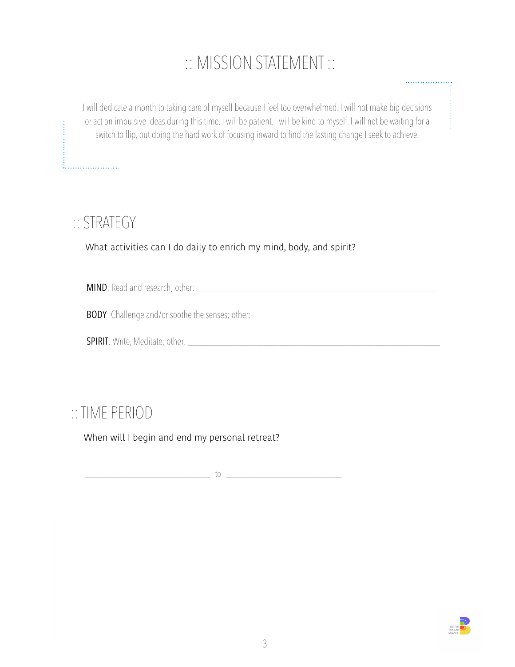# :: MISSION STATEMENT ::

I will dedicate a month to taking care of myself because I feel too overwhelmed. I will not make big decisions or act on impulsive ideas during this time. I will be patient. I will be kind to myself. I will not be waiting for a switch to flip, but doing the hard work of focusing inward to find the lasting change I seek to achieve.

#### :: STRATEGY

;<br>........................

What activities can I do daily to enrich my mind, body, and spirit?

MIND: Read and research; other: \_\_\_\_\_\_\_\_\_\_\_\_\_\_\_\_\_\_\_\_\_\_\_\_\_\_\_\_\_\_\_\_\_\_\_\_\_\_\_\_\_\_\_\_\_\_\_\_

BODY: Challenge and/or soothe the senses; other: \_\_\_\_\_\_\_\_\_\_\_\_\_\_\_\_\_\_\_\_\_\_\_\_\_\_\_\_\_\_\_\_\_\_\_\_\_

SPIRIT: Write, Meditate; other: **Example 2018** 

# :: TIME PERIOD

When will I begin and end my personal retreat?

\_\_\_\_\_\_\_\_\_\_\_\_\_\_\_\_\_\_\_\_\_\_\_\_\_\_\_ to \_\_\_\_\_\_\_\_\_\_\_\_\_\_\_\_\_\_\_\_\_\_\_\_\_



. . . . . . . . . . . . . . . . . . .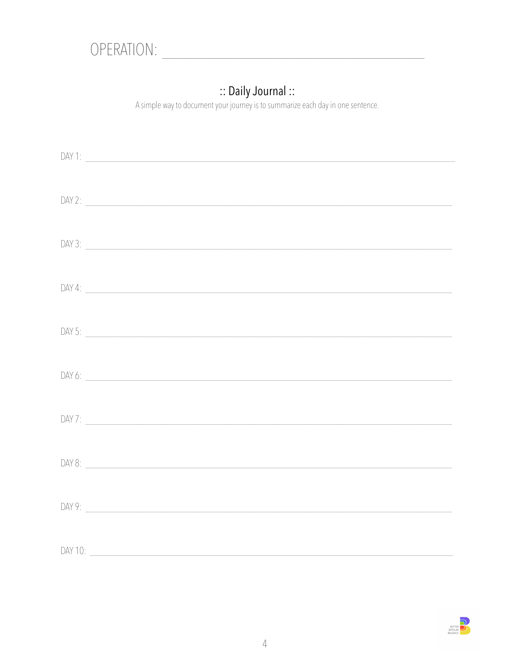OPERATION:

### $::$  Daily Journal  $::$

A simple way to document your journey is to summarize each day in one sentence.

| DAY2:                                                                                                                                                                                                                                |  |
|--------------------------------------------------------------------------------------------------------------------------------------------------------------------------------------------------------------------------------------|--|
|                                                                                                                                                                                                                                      |  |
|                                                                                                                                                                                                                                      |  |
|                                                                                                                                                                                                                                      |  |
| DAY 4:                                                                                                                                                                                                                               |  |
|                                                                                                                                                                                                                                      |  |
| DAY 5: <u>2006 100 million</u>                                                                                                                                                                                                       |  |
|                                                                                                                                                                                                                                      |  |
| DAY 6: <u>2008 - 2008 - 2009 - 2009 - 2009 - 2009 - 2009 - 2009 - 2009 - 2009 - 2009 - 2009 - 2009 - 2009 - 2009 - 2009 - 2009 - 2009 - 2009 - 2009 - 2009 - 2009 - 2009 - 2009 - 2009 - 2009 - 2009 - 2009 - 2009 - 2009 - 2009</u> |  |
|                                                                                                                                                                                                                                      |  |
| DAY 7: <u>2006</u>                                                                                                                                                                                                                   |  |
|                                                                                                                                                                                                                                      |  |
| DAY 8: <u>2006 and 2007 and 2008 and 2008 and 2008 and 2008 and 2008 and 2008 and 2008 and 2008 and 2008 and 2008 and 2008 and 2008 and 2008 and 2008 and 2008 and 2008 and 2008 and 2008 and 2008 and 2008 and 2008 and 2008 an</u> |  |
|                                                                                                                                                                                                                                      |  |
| DAY 9: <u>2006</u>                                                                                                                                                                                                                   |  |
|                                                                                                                                                                                                                                      |  |
| DAY 10: CAN ALCOHOL: CAN ARREST MARKET WAS ARRESTED FOR A STRUCK AND THE STRUCK OF THE STRUCK OF THE STRUCK OF                                                                                                                       |  |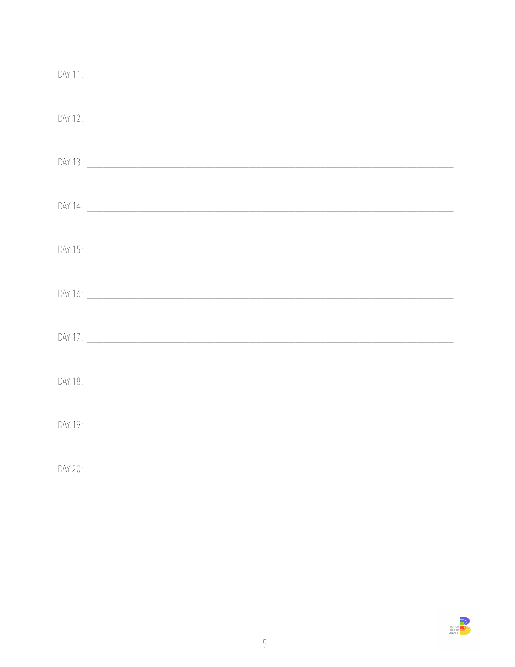| DAY 11: <u>2000 11: 2000 12: 2000 12: 2000 12: 2000 12: 2000 12: 2000 12: 2000 12: 2000 12: 2000 12: 2000 12: 2000 12: 2000 12: 2000 12: 2000 12: 2000 12: 2000 12: 2000 12: 2000 12: 2000 12: 2000 12: 2000 12: 2000 12: 2000 1</u> |  |  |
|--------------------------------------------------------------------------------------------------------------------------------------------------------------------------------------------------------------------------------------|--|--|
|                                                                                                                                                                                                                                      |  |  |
| DAY 12: <u>2000 12: 2000 12: 2000 12: 2000 12: 2000 12: 2000 12: 2000 12: 2000 12: 2000 12: 2000 12: 2000 12: 2000 12: 2000 12: 2000 12: 2000 12: 2000 12: 2000 12: 2000 12: 2000 12: 2000 12: 2000 12: 2000 12: 2000 12: 2000 1</u> |  |  |
|                                                                                                                                                                                                                                      |  |  |
|                                                                                                                                                                                                                                      |  |  |
| DAY 14: <u>2000 14: 2000 14: 2000 14: 2000 14: 2000 14: 2000 14: 2000 14: 2000 14: 2000 14: 2000 14: 2000 14: 2000 14: 2000 14: 2000 14: 2000 14: 2000 14: 2000 14: 2000 14: 2000 14: 2000 14: 2000 14: 2000 14: 2000 14: 2000 1</u> |  |  |
|                                                                                                                                                                                                                                      |  |  |
|                                                                                                                                                                                                                                      |  |  |
|                                                                                                                                                                                                                                      |  |  |
|                                                                                                                                                                                                                                      |  |  |
| DAY 17: <u>2000 12: 2000 12: 2000 12: 2000 12: 2000 12: 2000 12: 2000 12: 2000 12: 2000 12: 2000 12: 2000 12: 2000 12: 2000 12: 2000 12: 2000 12: 2000 12: 2000 12: 2000 12: 2000 12: 2000 12: 2000 12: 2000 12: 2000 12: 2000 1</u> |  |  |
|                                                                                                                                                                                                                                      |  |  |
| DAY 18: <u>2000 18: 2000 18: 2000 18: 2000 18: 2000 18: 2000 18: 2000 18: 2000 18: 2000 18: 2000 18: 2000 18: 2000 18: 2000 18: 2000 18: 2000 18: 2000 18: 2000 18: 2000 18: 2000 18: 2000 18: 2000 18: 2000 18: 2000 18: 2000 1</u> |  |  |
|                                                                                                                                                                                                                                      |  |  |
| DAY 19: <u>2000 19: 2000 19: 2000 19: 2000 19: 2000 19: 2000 19: 2000 19: 2000 19: 2000 19: 2000 19: 2000 19: 2000 19: 2000 19: 2000 19: 2000 19: 2000 19: 2000 19: 2000 19: 2000 19: 2000 19: 2000 19: 2000 19: 2000 19: 2000 1</u> |  |  |
|                                                                                                                                                                                                                                      |  |  |